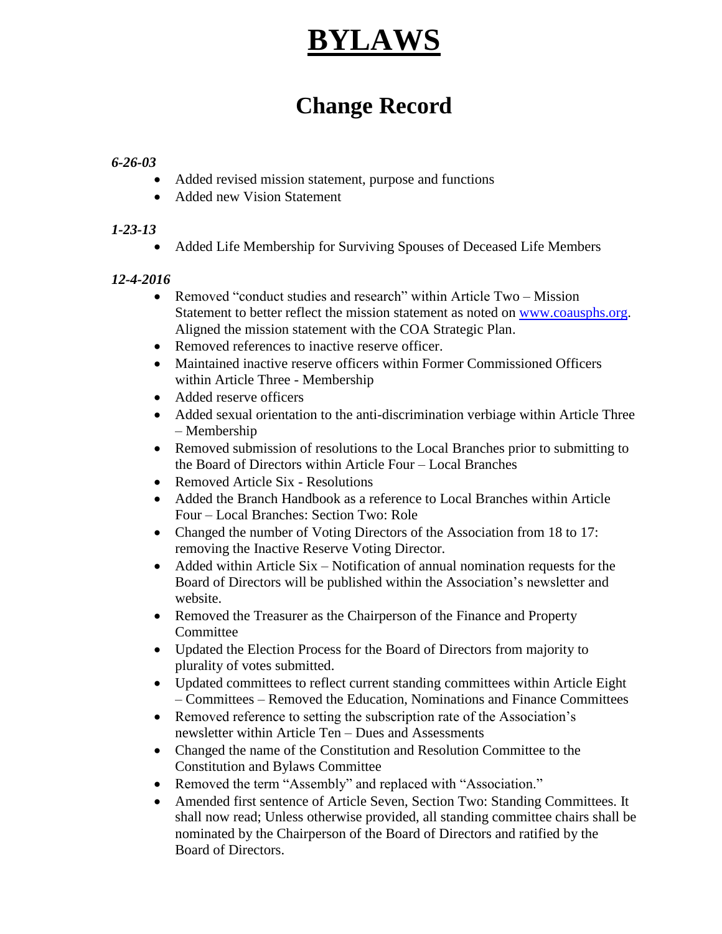## **BYLAWS**

## **Change Record**

## *6-26-03*

- Added revised mission statement, purpose and functions
- Added new Vision Statement

## *1-23-13*

Added Life Membership for Surviving Spouses of Deceased Life Members

## *12-4-2016*

- Removed "conduct studies and research" within Article Two Mission Statement to better reflect the mission statement as noted on [www.coausphs.org.](http://www.coausphs.org/) Aligned the mission statement with the COA Strategic Plan.
- Removed references to inactive reserve officer.
- Maintained inactive reserve officers within Former Commissioned Officers within Article Three - Membership
- Added reserve officers
- Added sexual orientation to the anti-discrimination verbiage within Article Three – Membership
- Removed submission of resolutions to the Local Branches prior to submitting to the Board of Directors within Article Four – Local Branches
- Removed Article Six Resolutions
- Added the Branch Handbook as a reference to Local Branches within Article Four – Local Branches: Section Two: Role
- Changed the number of Voting Directors of the Association from 18 to 17: removing the Inactive Reserve Voting Director.
- Added within Article  $Six Notification of annual nomination requests for the$ Board of Directors will be published within the Association's newsletter and website.
- Removed the Treasurer as the Chairperson of the Finance and Property Committee
- Updated the Election Process for the Board of Directors from majority to plurality of votes submitted.
- Updated committees to reflect current standing committees within Article Eight – Committees – Removed the Education, Nominations and Finance Committees
- Removed reference to setting the subscription rate of the Association's newsletter within Article Ten – Dues and Assessments
- Changed the name of the Constitution and Resolution Committee to the Constitution and Bylaws Committee
- Removed the term "Assembly" and replaced with "Association."
- Amended first sentence of Article Seven, Section Two: Standing Committees. It shall now read; Unless otherwise provided, all standing committee chairs shall be nominated by the Chairperson of the Board of Directors and ratified by the Board of Directors.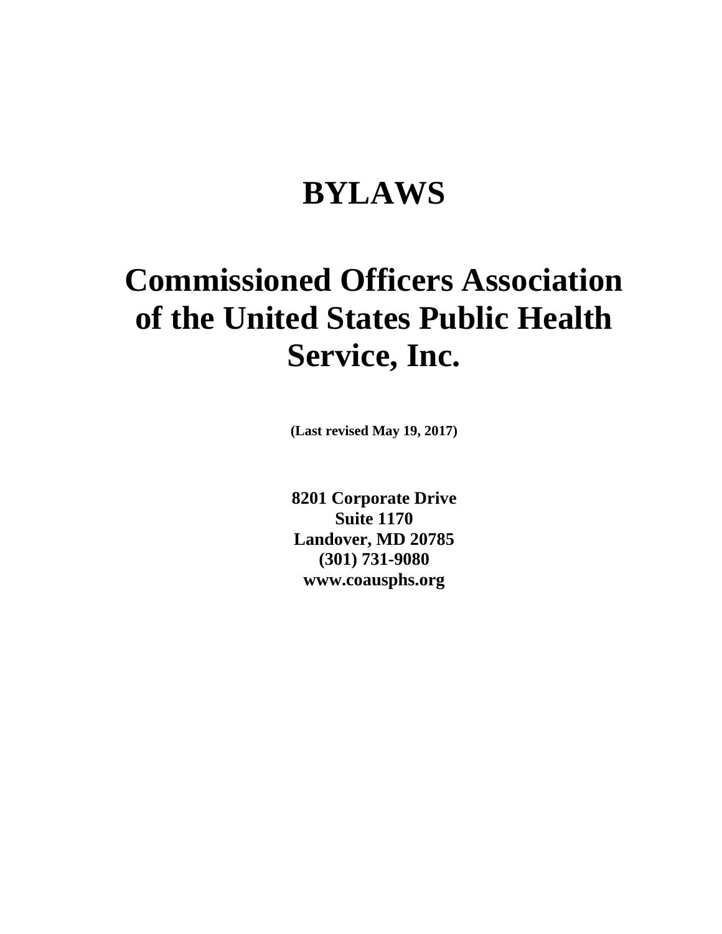## **BYLAWS**

# **Commissioned Officers Association of the United States Public Health Service, Inc.**

**(Last revised May 19, 2017)**

**8201 Corporate Drive Suite 1170 Landover, MD 20785 (301) 731-9080 www.coausphs.org**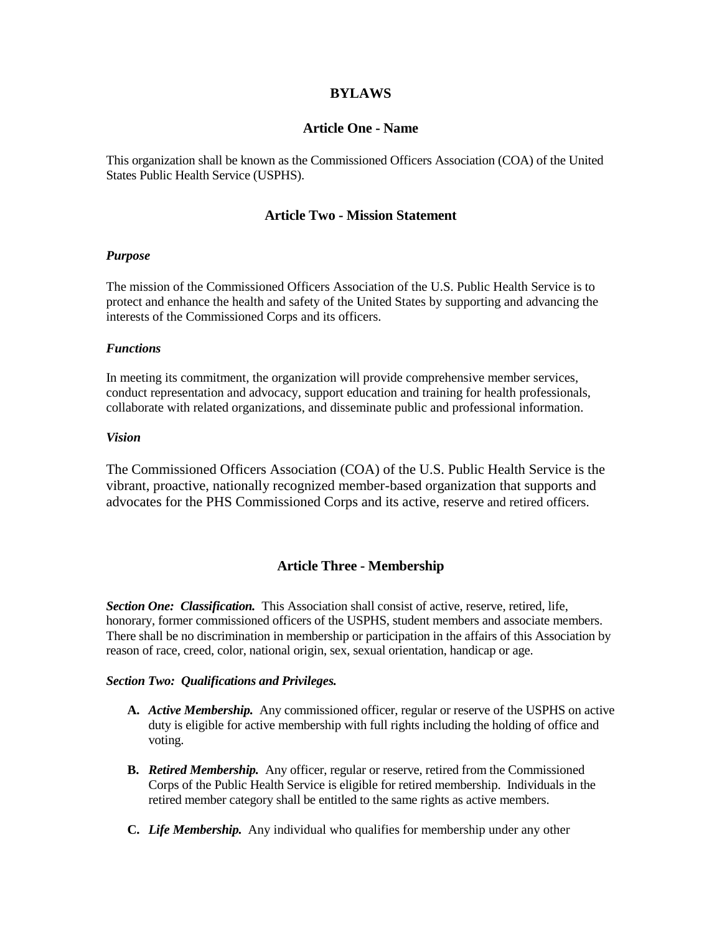#### **BYLAWS**

#### **Article One - Name**

This organization shall be known as the Commissioned Officers Association (COA) of the United States Public Health Service (USPHS).

#### **Article Two - Mission Statement**

#### *Purpose*

The mission of the Commissioned Officers Association of the U.S. Public Health Service is to protect and enhance the health and safety of the United States by supporting and advancing the interests of the Commissioned Corps and its officers.

#### *Functions*

In meeting its commitment, the organization will provide comprehensive member services, conduct representation and advocacy, support education and training for health professionals, collaborate with related organizations, and disseminate public and professional information.

#### *Vision*

The Commissioned Officers Association (COA) of the U.S. Public Health Service is the vibrant, proactive, nationally recognized member-based organization that supports and advocates for the PHS Commissioned Corps and its active, reserve and retired officers.

#### **Article Three - Membership**

*Section One: Classification.* This Association shall consist of active, reserve, retired, life, honorary, former commissioned officers of the USPHS, student members and associate members. There shall be no discrimination in membership or participation in the affairs of this Association by reason of race, creed, color, national origin, sex, sexual orientation, handicap or age.

#### *Section Two: Qualifications and Privileges.*

- **A.** *Active Membership.* Any commissioned officer, regular or reserve of the USPHS on active duty is eligible for active membership with full rights including the holding of office and voting.
- **B.** *Retired Membership.* Any officer, regular or reserve, retired from the Commissioned Corps of the Public Health Service is eligible for retired membership. Individuals in the retired member category shall be entitled to the same rights as active members.
- **C.** *Life Membership.* Any individual who qualifies for membership under any other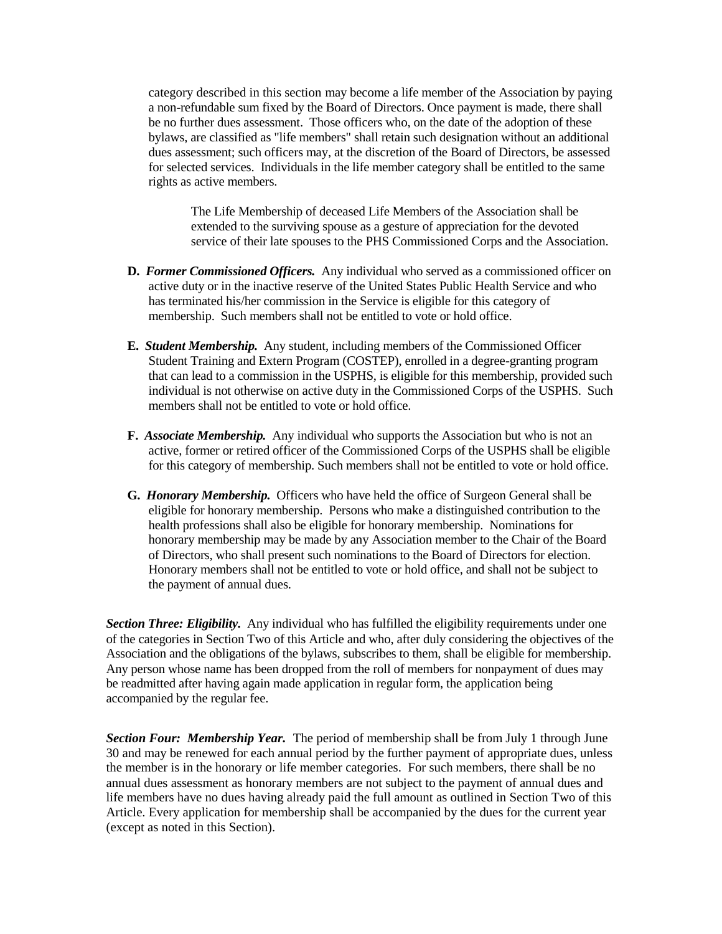category described in this section may become a life member of the Association by paying a non-refundable sum fixed by the Board of Directors. Once payment is made, there shall be no further dues assessment. Those officers who, on the date of the adoption of these bylaws, are classified as "life members" shall retain such designation without an additional dues assessment; such officers may, at the discretion of the Board of Directors, be assessed for selected services. Individuals in the life member category shall be entitled to the same rights as active members.

The Life Membership of deceased Life Members of the Association shall be extended to the surviving spouse as a gesture of appreciation for the devoted service of their late spouses to the PHS Commissioned Corps and the Association.

- **D.** *Former Commissioned Officers.* Any individual who served as a commissioned officer on active duty or in the inactive reserve of the United States Public Health Service and who has terminated his/her commission in the Service is eligible for this category of membership. Such members shall not be entitled to vote or hold office.
- **E.** *Student Membership.* Any student, including members of the Commissioned Officer Student Training and Extern Program (COSTEP), enrolled in a degree-granting program that can lead to a commission in the USPHS, is eligible for this membership, provided such individual is not otherwise on active duty in the Commissioned Corps of the USPHS. Such members shall not be entitled to vote or hold office.
- **F.** *Associate Membership.* Any individual who supports the Association but who is not an active, former or retired officer of the Commissioned Corps of the USPHS shall be eligible for this category of membership. Such members shall not be entitled to vote or hold office.
- **G.** *Honorary Membership.* Officers who have held the office of Surgeon General shall be eligible for honorary membership. Persons who make a distinguished contribution to the health professions shall also be eligible for honorary membership. Nominations for honorary membership may be made by any Association member to the Chair of the Board of Directors, who shall present such nominations to the Board of Directors for election. Honorary members shall not be entitled to vote or hold office, and shall not be subject to the payment of annual dues.

*Section Three: Eligibility.* Any individual who has fulfilled the eligibility requirements under one of the categories in Section Two of this Article and who, after duly considering the objectives of the Association and the obligations of the bylaws, subscribes to them, shall be eligible for membership. Any person whose name has been dropped from the roll of members for nonpayment of dues may be readmitted after having again made application in regular form, the application being accompanied by the regular fee.

*Section Four: Membership Year.* The period of membership shall be from July 1 through June 30 and may be renewed for each annual period by the further payment of appropriate dues, unless the member is in the honorary or life member categories. For such members, there shall be no annual dues assessment as honorary members are not subject to the payment of annual dues and life members have no dues having already paid the full amount as outlined in Section Two of this Article. Every application for membership shall be accompanied by the dues for the current year (except as noted in this Section).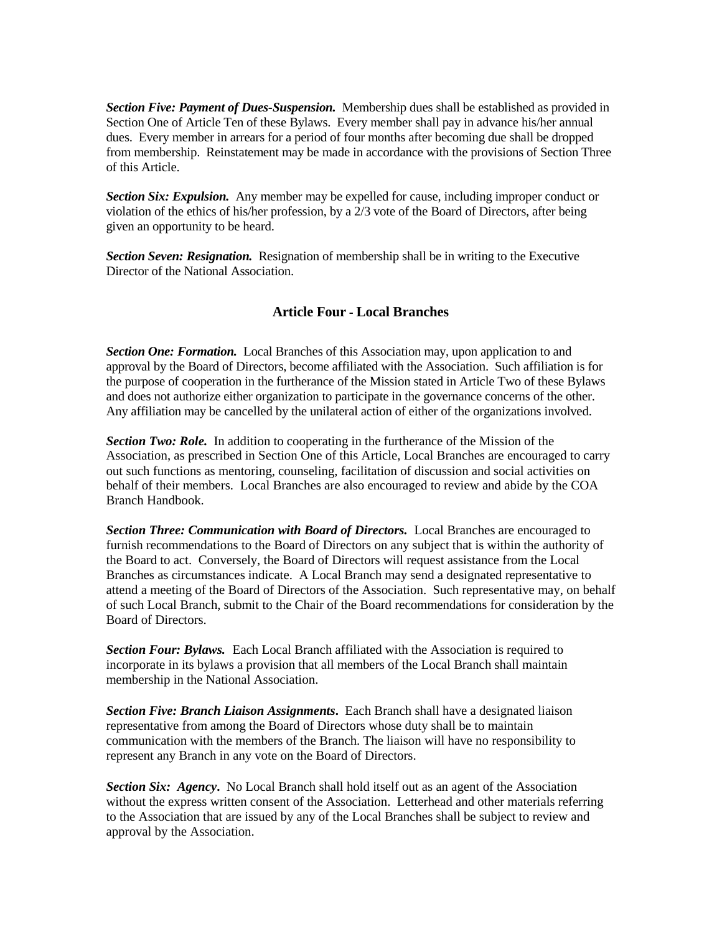*Section Five: Payment of Dues-Suspension.* Membership dues shall be established as provided in Section One of Article Ten of these Bylaws. Every member shall pay in advance his/her annual dues. Every member in arrears for a period of four months after becoming due shall be dropped from membership. Reinstatement may be made in accordance with the provisions of Section Three of this Article.

*Section Six: Expulsion.* Any member may be expelled for cause, including improper conduct or violation of the ethics of his/her profession, by a 2/3 vote of the Board of Directors, after being given an opportunity to be heard.

*Section Seven: Resignation.* Resignation of membership shall be in writing to the Executive Director of the National Association.

## **Article Four - Local Branches**

**Section One: Formation.** Local Branches of this Association may, upon application to and approval by the Board of Directors, become affiliated with the Association. Such affiliation is for the purpose of cooperation in the furtherance of the Mission stated in Article Two of these Bylaws and does not authorize either organization to participate in the governance concerns of the other. Any affiliation may be cancelled by the unilateral action of either of the organizations involved.

**Section Two: Role.** In addition to cooperating in the furtherance of the Mission of the Association, as prescribed in Section One of this Article, Local Branches are encouraged to carry out such functions as mentoring, counseling, facilitation of discussion and social activities on behalf of their members. Local Branches are also encouraged to review and abide by the COA Branch Handbook.

**Section Three: Communication with Board of Directors.** Local Branches are encouraged to furnish recommendations to the Board of Directors on any subject that is within the authority of the Board to act. Conversely, the Board of Directors will request assistance from the Local Branches as circumstances indicate. A Local Branch may send a designated representative to attend a meeting of the Board of Directors of the Association. Such representative may, on behalf of such Local Branch, submit to the Chair of the Board recommendations for consideration by the Board of Directors.

*Section Four: Bylaws.* Each Local Branch affiliated with the Association is required to incorporate in its bylaws a provision that all members of the Local Branch shall maintain membership in the National Association.

*Section Five: Branch Liaison Assignments***.** Each Branch shall have a designated liaison representative from among the Board of Directors whose duty shall be to maintain communication with the members of the Branch. The liaison will have no responsibility to represent any Branch in any vote on the Board of Directors.

*Section Six: Agency***.** No Local Branch shall hold itself out as an agent of the Association without the express written consent of the Association. Letterhead and other materials referring to the Association that are issued by any of the Local Branches shall be subject to review and approval by the Association.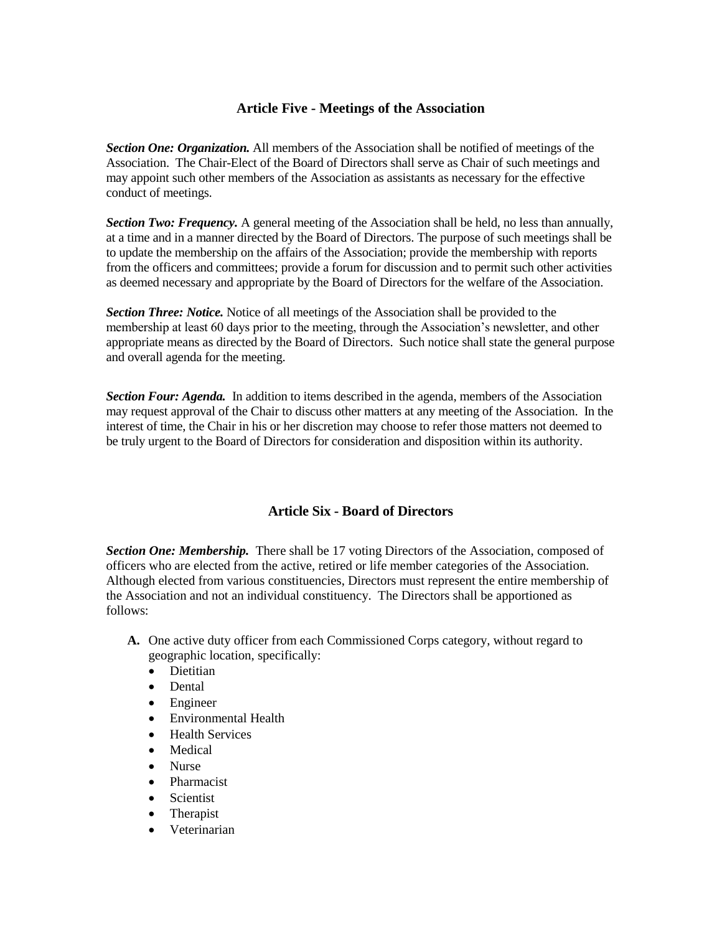## **Article Five - Meetings of the Association**

*Section One: Organization.* All members of the Association shall be notified of meetings of the Association. The Chair-Elect of the Board of Directors shall serve as Chair of such meetings and may appoint such other members of the Association as assistants as necessary for the effective conduct of meetings.

*Section Two: Frequency.* A general meeting of the Association shall be held, no less than annually, at a time and in a manner directed by the Board of Directors. The purpose of such meetings shall be to update the membership on the affairs of the Association; provide the membership with reports from the officers and committees; provide a forum for discussion and to permit such other activities as deemed necessary and appropriate by the Board of Directors for the welfare of the Association.

*Section Three: Notice.* Notice of all meetings of the Association shall be provided to the membership at least 60 days prior to the meeting, through the Association's newsletter, and other appropriate means as directed by the Board of Directors. Such notice shall state the general purpose and overall agenda for the meeting.

*Section Four: Agenda.* In addition to items described in the agenda, members of the Association may request approval of the Chair to discuss other matters at any meeting of the Association. In the interest of time, the Chair in his or her discretion may choose to refer those matters not deemed to be truly urgent to the Board of Directors for consideration and disposition within its authority.

## **Article Six - Board of Directors**

**Section One: Membership.** There shall be 17 voting Directors of the Association, composed of officers who are elected from the active, retired or life member categories of the Association. Although elected from various constituencies, Directors must represent the entire membership of the Association and not an individual constituency. The Directors shall be apportioned as follows:

- **A.** One active duty officer from each Commissioned Corps category, without regard to geographic location, specifically:
	- **•** Dietitian
	- Dental
	- Engineer
	- Environmental Health
	- Health Services
	- Medical
	- Nurse
	- Pharmacist
	- Scientist
	- Therapist
	- Veterinarian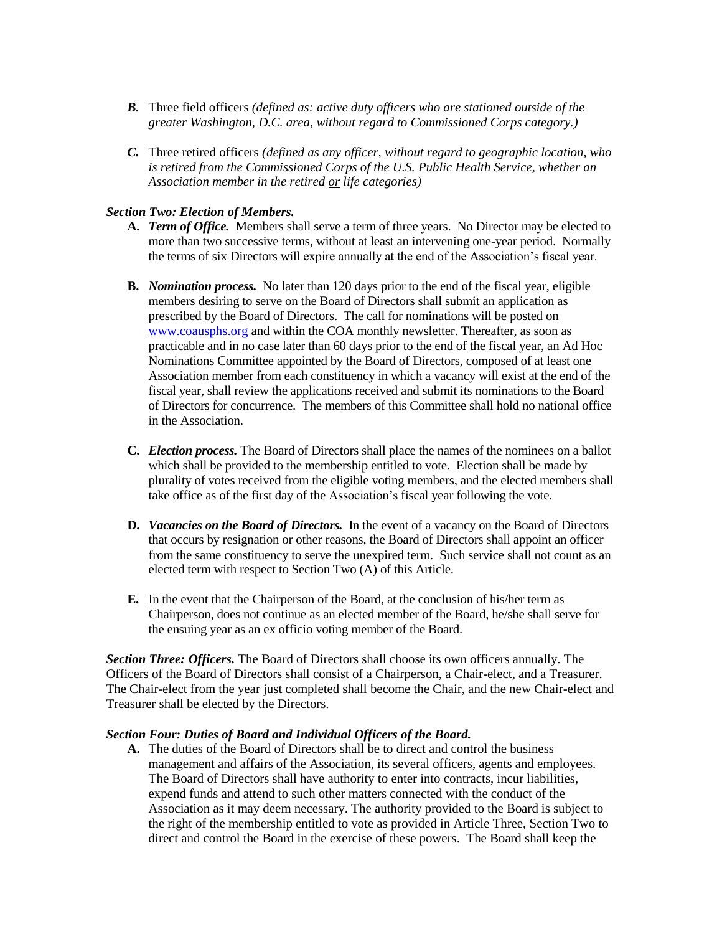- *B.* Three field officers *(defined as: active duty officers who are stationed outside of the greater Washington, D.C. area, without regard to Commissioned Corps category.)*
- *C.* Three retired officers *(defined as any officer, without regard to geographic location, who is retired from the Commissioned Corps of the U.S. Public Health Service, whether an Association member in the retired or life categories)*

#### *Section Two: Election of Members.*

- **A.** *Term of Office.*Members shall serve a term of three years. No Director may be elected to more than two successive terms, without at least an intervening one-year period. Normally the terms of six Directors will expire annually at the end of the Association's fiscal year.
- **B.** *Nomination process.*No later than 120 days prior to the end of the fiscal year, eligible members desiring to serve on the Board of Directors shall submit an application as prescribed by the Board of Directors. The call for nominations will be posted on [www.coausphs.org](http://www.coausphs.org/) and within the COA monthly newsletter. Thereafter, as soon as practicable and in no case later than 60 days prior to the end of the fiscal year, an Ad Hoc Nominations Committee appointed by the Board of Directors, composed of at least one Association member from each constituency in which a vacancy will exist at the end of the fiscal year, shall review the applications received and submit its nominations to the Board of Directors for concurrence. The members of this Committee shall hold no national office in the Association.
- **C.** *Election process.* The Board of Directors shall place the names of the nominees on a ballot which shall be provided to the membership entitled to vote. Election shall be made by plurality of votes received from the eligible voting members, and the elected members shall take office as of the first day of the Association's fiscal year following the vote.
- **D.** *Vacancies on the Board of Directors.* In the event of a vacancy on the Board of Directors that occurs by resignation or other reasons, the Board of Directors shall appoint an officer from the same constituency to serve the unexpired term. Such service shall not count as an elected term with respect to Section Two (A) of this Article.
- **E.** In the event that the Chairperson of the Board, at the conclusion of his/her term as Chairperson, does not continue as an elected member of the Board, he/she shall serve for the ensuing year as an ex officio voting member of the Board.

*Section Three: Officers.* The Board of Directors shall choose its own officers annually. The Officers of the Board of Directors shall consist of a Chairperson, a Chair-elect, and a Treasurer. The Chair-elect from the year just completed shall become the Chair, and the new Chair-elect and Treasurer shall be elected by the Directors.

#### *Section Four: Duties of Board and Individual Officers of the Board.*

**A.** The duties of the Board of Directors shall be to direct and control the business management and affairs of the Association, its several officers, agents and employees. The Board of Directors shall have authority to enter into contracts, incur liabilities, expend funds and attend to such other matters connected with the conduct of the Association as it may deem necessary. The authority provided to the Board is subject to the right of the membership entitled to vote as provided in Article Three, Section Two to direct and control the Board in the exercise of these powers. The Board shall keep the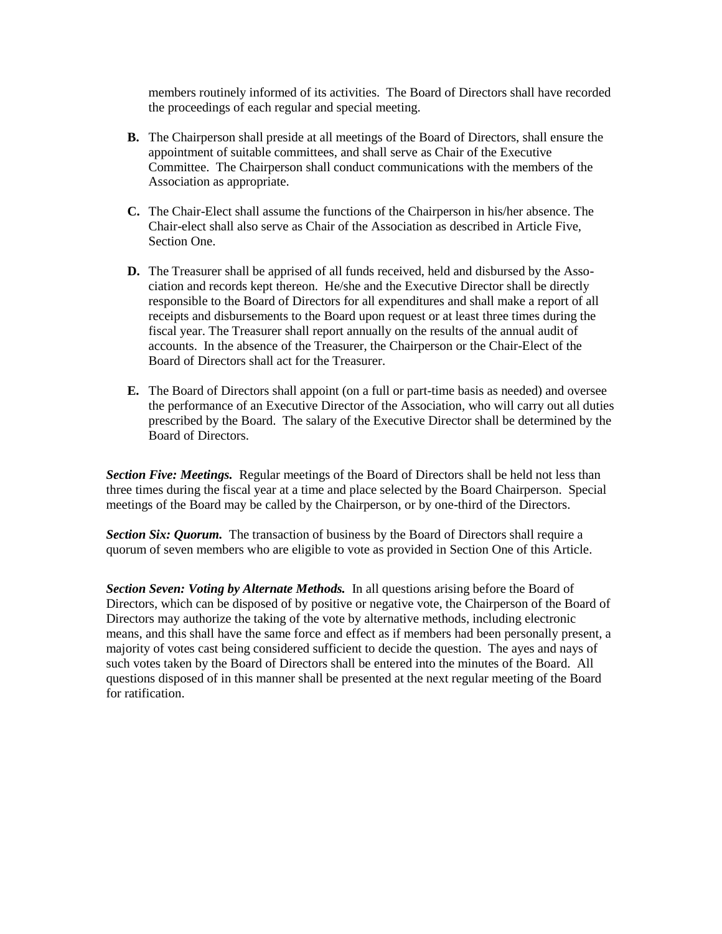members routinely informed of its activities. The Board of Directors shall have recorded the proceedings of each regular and special meeting.

- **B.** The Chairperson shall preside at all meetings of the Board of Directors, shall ensure the appointment of suitable committees, and shall serve as Chair of the Executive Committee. The Chairperson shall conduct communications with the members of the Association as appropriate.
- **C.** The Chair-Elect shall assume the functions of the Chairperson in his/her absence. The Chair-elect shall also serve as Chair of the Association as described in Article Five, Section One.
- **D.** The Treasurer shall be apprised of all funds received, held and disbursed by the Association and records kept thereon. He/she and the Executive Director shall be directly responsible to the Board of Directors for all expenditures and shall make a report of all receipts and disbursements to the Board upon request or at least three times during the fiscal year. The Treasurer shall report annually on the results of the annual audit of accounts. In the absence of the Treasurer, the Chairperson or the Chair-Elect of the Board of Directors shall act for the Treasurer.
- **E.** The Board of Directors shall appoint (on a full or part-time basis as needed) and oversee the performance of an Executive Director of the Association, who will carry out all duties prescribed by the Board. The salary of the Executive Director shall be determined by the Board of Directors.

*Section Five: Meetings.* Regular meetings of the Board of Directors shall be held not less than three times during the fiscal year at a time and place selected by the Board Chairperson. Special meetings of the Board may be called by the Chairperson, or by one-third of the Directors.

**Section Six: Quorum.** The transaction of business by the Board of Directors shall require a quorum of seven members who are eligible to vote as provided in Section One of this Article.

*Section Seven: Voting by Alternate Methods.* In all questions arising before the Board of Directors, which can be disposed of by positive or negative vote, the Chairperson of the Board of Directors may authorize the taking of the vote by alternative methods, including electronic means, and this shall have the same force and effect as if members had been personally present, a majority of votes cast being considered sufficient to decide the question. The ayes and nays of such votes taken by the Board of Directors shall be entered into the minutes of the Board. All questions disposed of in this manner shall be presented at the next regular meeting of the Board for ratification.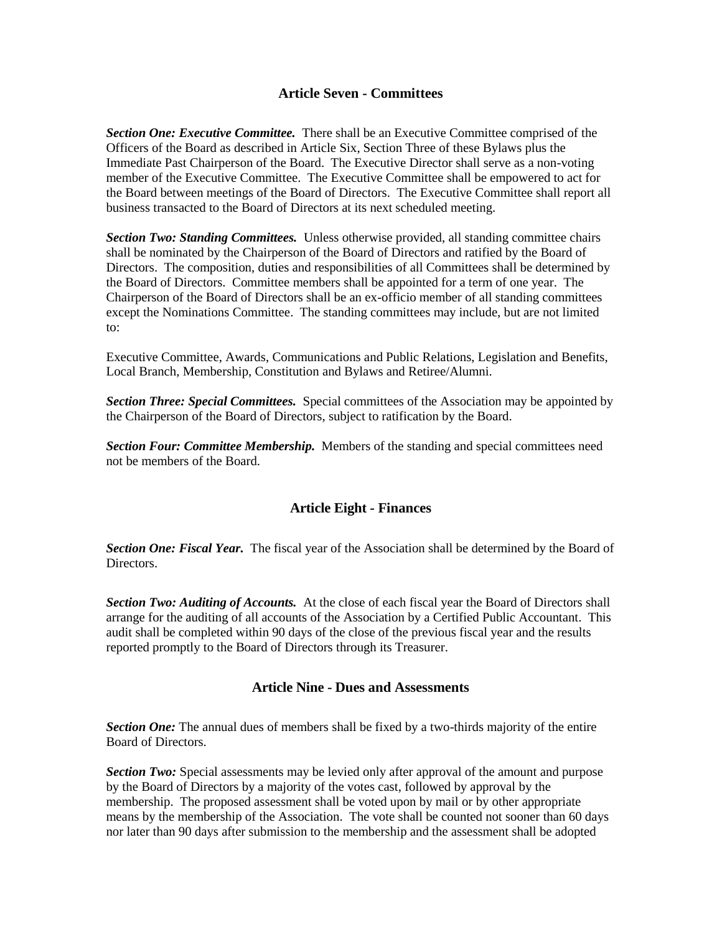#### **Article Seven - Committees**

**Section One: Executive Committee.** There shall be an Executive Committee comprised of the Officers of the Board as described in Article Six, Section Three of these Bylaws plus the Immediate Past Chairperson of the Board. The Executive Director shall serve as a non-voting member of the Executive Committee. The Executive Committee shall be empowered to act for the Board between meetings of the Board of Directors. The Executive Committee shall report all business transacted to the Board of Directors at its next scheduled meeting.

*Section Two: Standing Committees.* Unless otherwise provided, all standing committee chairs shall be nominated by the Chairperson of the Board of Directors and ratified by the Board of Directors. The composition, duties and responsibilities of all Committees shall be determined by the Board of Directors. Committee members shall be appointed for a term of one year. The Chairperson of the Board of Directors shall be an ex-officio member of all standing committees except the Nominations Committee. The standing committees may include, but are not limited to:

Executive Committee, Awards, Communications and Public Relations, Legislation and Benefits, Local Branch, Membership, Constitution and Bylaws and Retiree/Alumni.

*Section Three: Special Committees.* Special committees of the Association may be appointed by the Chairperson of the Board of Directors, subject to ratification by the Board.

*Section Four: Committee Membership.* Members of the standing and special committees need not be members of the Board.

## **Article Eight - Finances**

*Section One: Fiscal Year.* The fiscal year of the Association shall be determined by the Board of Directors.

**Section Two: Auditing of Accounts.** At the close of each fiscal year the Board of Directors shall arrange for the auditing of all accounts of the Association by a Certified Public Accountant. This audit shall be completed within 90 days of the close of the previous fiscal year and the results reported promptly to the Board of Directors through its Treasurer.

#### **Article Nine - Dues and Assessments**

**Section One:** The annual dues of members shall be fixed by a two-thirds majority of the entire Board of Directors.

*Section Two:* Special assessments may be levied only after approval of the amount and purpose by the Board of Directors by a majority of the votes cast, followed by approval by the membership. The proposed assessment shall be voted upon by mail or by other appropriate means by the membership of the Association. The vote shall be counted not sooner than 60 days nor later than 90 days after submission to the membership and the assessment shall be adopted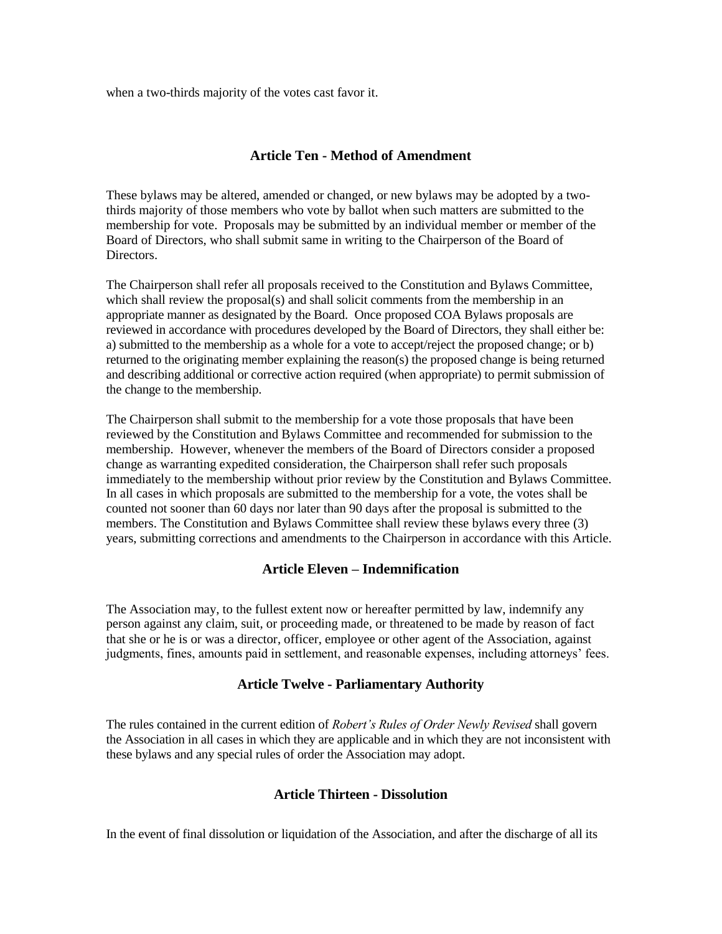when a two-thirds majority of the votes cast favor it.

### **Article Ten - Method of Amendment**

These bylaws may be altered, amended or changed, or new bylaws may be adopted by a twothirds majority of those members who vote by ballot when such matters are submitted to the membership for vote. Proposals may be submitted by an individual member or member of the Board of Directors, who shall submit same in writing to the Chairperson of the Board of Directors.

The Chairperson shall refer all proposals received to the Constitution and Bylaws Committee, which shall review the proposal(s) and shall solicit comments from the membership in an appropriate manner as designated by the Board. Once proposed COA Bylaws proposals are reviewed in accordance with procedures developed by the Board of Directors, they shall either be: a) submitted to the membership as a whole for a vote to accept/reject the proposed change; or b) returned to the originating member explaining the reason(s) the proposed change is being returned and describing additional or corrective action required (when appropriate) to permit submission of the change to the membership.

The Chairperson shall submit to the membership for a vote those proposals that have been reviewed by the Constitution and Bylaws Committee and recommended for submission to the membership. However, whenever the members of the Board of Directors consider a proposed change as warranting expedited consideration, the Chairperson shall refer such proposals immediately to the membership without prior review by the Constitution and Bylaws Committee. In all cases in which proposals are submitted to the membership for a vote, the votes shall be counted not sooner than 60 days nor later than 90 days after the proposal is submitted to the members. The Constitution and Bylaws Committee shall review these bylaws every three (3) years, submitting corrections and amendments to the Chairperson in accordance with this Article.

#### **Article Eleven – Indemnification**

The Association may, to the fullest extent now or hereafter permitted by law, indemnify any person against any claim, suit, or proceeding made, or threatened to be made by reason of fact that she or he is or was a director, officer, employee or other agent of the Association, against judgments, fines, amounts paid in settlement, and reasonable expenses, including attorneys' fees.

#### **Article Twelve - Parliamentary Authority**

The rules contained in the current edition of *Robert's Rules of Order Newly Revised* shall govern the Association in all cases in which they are applicable and in which they are not inconsistent with these bylaws and any special rules of order the Association may adopt.

#### **Article Thirteen - Dissolution**

In the event of final dissolution or liquidation of the Association, and after the discharge of all its